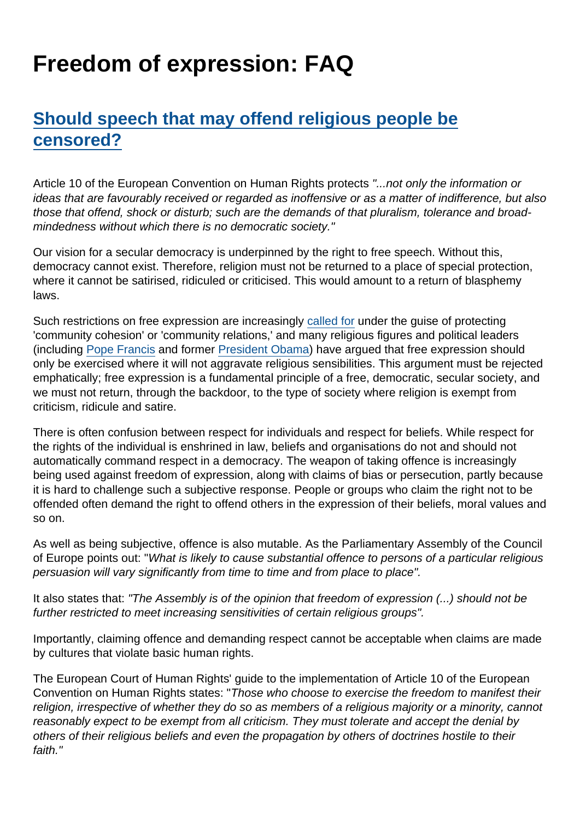# Freedom of expression: FAQ

# [Should speech that may offend religious people be](https://www.secularism.org.uk/free-expression/freedom-of-expression-faq.html#e-190124-a) [censored?](https://www.secularism.org.uk/free-expression/freedom-of-expression-faq.html#e-190124-a)

Article 10 of the European Convention on Human Rights protects "...not only the information or ideas that are favourably received or regarded as inoffensive or as a matter of indifference, but also those that offend, shock or disturb; such are the demands of that pluralism, tolerance and broadmindedness without which there is no democratic society."

Our vision for a secular democracy is underpinned by the right to free speech. Without this, democracy cannot exist. Therefore, religion must not be returned to a place of special protection, where it cannot be satirised, ridiculed or criticised. This would amount to a return of blasphemy laws.

Such restrictions on free expression are increasingly [called for](https://www.theguardian.com/media/2015/feb/10/police-several-forces-seek-details-charlie-hebdo-readers) under the guise of protecting 'community cohesion' or 'community relations,' and many religious figures and political leaders (including [Pope Francis](https://www.bbc.co.uk/news/world-europe-30838667) and former [President Obama](https://www.economist.com/blogs/democracyinamerica/2015/02/political-correctness)) have argued that free expression should only be exercised where it will not aggravate religious sensibilities. This argument must be rejected emphatically; free expression is a fundamental principle of a free, democratic, secular society, and we must not return, through the backdoor, to the type of society where religion is exempt from criticism, ridicule and satire.

There is often confusion between respect for individuals and respect for beliefs. While respect for the rights of the individual is enshrined in law, beliefs and organisations do not and should not automatically command respect in a democracy. The weapon of taking offence is increasingly being used against freedom of expression, along with claims of bias or persecution, partly because it is hard to challenge such a subjective response. People or groups who claim the right not to be offended often demand the right to offend others in the expression of their beliefs, moral values and so on.

As well as being subjective, offence is also mutable. As the Parliamentary Assembly of the Council of Europe points out: "What is likely to cause substantial offence to persons of a particular religious persuasion will vary significantly from time to time and from place to place".

It also states that: "The Assembly is of the opinion that freedom of expression (...) should not be further restricted to meet increasing sensitivities of certain religious groups".

Importantly, claiming offence and demanding respect cannot be acceptable when claims are made by cultures that violate basic human rights.

The European Court of Human Rights' guide to the implementation of Article 10 of the European Convention on Human Rights states: "Those who choose to exercise the freedom to manifest their religion, irrespective of whether they do so as members of a religious majority or a minority, cannot reasonably expect to be exempt from all criticism. They must tolerate and accept the denial by others of their religious beliefs and even the propagation by others of doctrines hostile to their faith."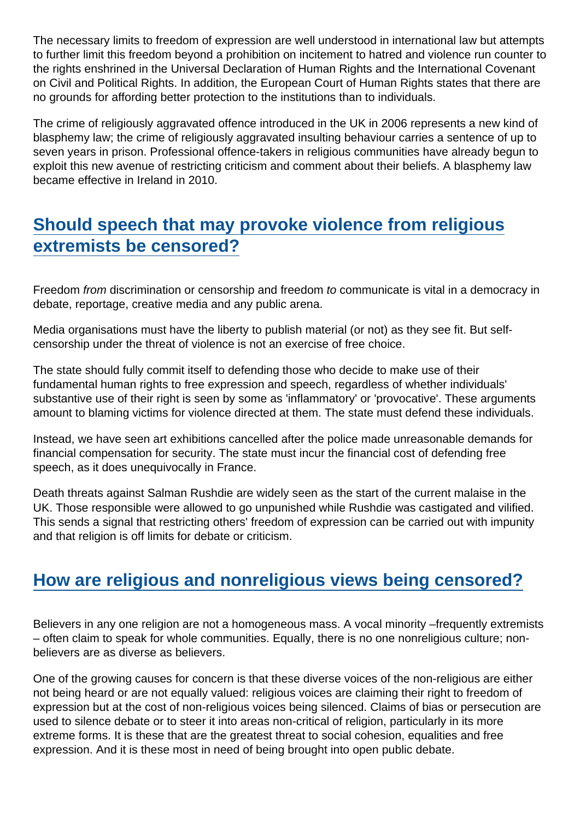The necessary limits to freedom of expression are well understood in international law but attempts to further limit this freedom beyond a prohibition on incitement to hatred and violence run counter to the rights enshrined in the Universal Declaration of Human Rights and the International Covenant on Civil and Political Rights. In addition, the European Court of Human Rights states that there are no grounds for affording better protection to the institutions than to individuals.

The crime of religiously aggravated offence introduced in the UK in 2006 represents a new kind of blasphemy law; the crime of religiously aggravated insulting behaviour carries a sentence of up to seven years in prison. Professional offence-takers in religious communities have already begun to exploit this new avenue of restricting criticism and comment about their beliefs. A blasphemy law became effective in Ireland in 2010.

# [Should speech that may provoke violence from religious](https://www.secularism.org.uk/free-expression/freedom-of-expression-faq.html#e-190123-a) [extremists be censored?](https://www.secularism.org.uk/free-expression/freedom-of-expression-faq.html#e-190123-a)

Freedom from discrimination or censorship and freedom to communicate is vital in a democracy in debate, reportage, creative media and any public arena.

Media organisations must have the liberty to publish material (or not) as they see fit. But selfcensorship under the threat of violence is not an exercise of free choice.

The state should fully commit itself to defending those who decide to make use of their fundamental human rights to free expression and speech, regardless of whether individuals' substantive use of their right is seen by some as 'inflammatory' or 'provocative'. These arguments amount to blaming victims for violence directed at them. The state must defend these individuals.

Instead, we have seen art exhibitions cancelled after the police made unreasonable demands for financial compensation for security. The state must incur the financial cost of defending free speech, as it does unequivocally in France.

Death threats against Salman Rushdie are widely seen as the start of the current malaise in the UK. Those responsible were allowed to go unpunished while Rushdie was castigated and vilified. This sends a signal that restricting others' freedom of expression can be carried out with impunity and that religion is off limits for debate or criticism.

# [How are religious and nonreligious views being censored?](https://www.secularism.org.uk/free-expression/freedom-of-expression-faq.html#e-190129-a)

Believers in any one religion are not a homogeneous mass. A vocal minority –frequently extremists – often claim to speak for whole communities. Equally, there is no one nonreligious culture; nonbelievers are as diverse as believers.

One of the growing causes for concern is that these diverse voices of the non-religious are either not being heard or are not equally valued: religious voices are claiming their right to freedom of expression but at the cost of non-religious voices being silenced. Claims of bias or persecution are used to silence debate or to steer it into areas non-critical of religion, particularly in its more extreme forms. It is these that are the greatest threat to social cohesion, equalities and free expression. And it is these most in need of being brought into open public debate.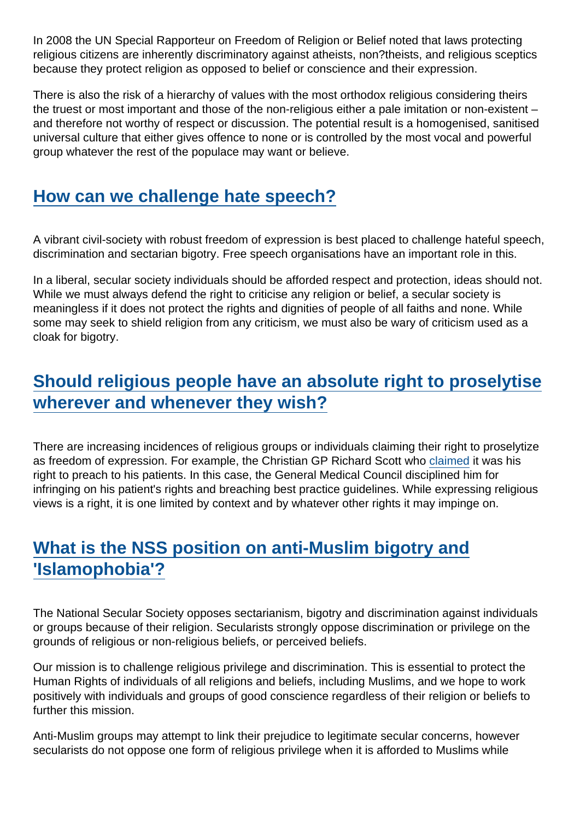In 2008 the UN Special Rapporteur on Freedom of Religion or Belief noted that laws protecting religious citizens are inherently discriminatory against atheists, non?theists, and religious sceptics because they protect religion as opposed to belief or conscience and their expression.

There is also the risk of a hierarchy of values with the most orthodox religious considering theirs the truest or most important and those of the non-religious either a pale imitation or non-existent – and therefore not worthy of respect or discussion. The potential result is a homogenised, sanitised universal culture that either gives offence to none or is controlled by the most vocal and powerful group whatever the rest of the populace may want or believe.

#### [How can we challenge hate speech?](https://www.secularism.org.uk/free-expression/freedom-of-expression-faq.html#e-190125-a)

A vibrant civil-society with robust freedom of expression is best placed to challenge hateful speech, discrimination and sectarian bigotry. Free speech organisations have an important role in this.

In a liberal, secular society individuals should be afforded respect and protection, ideas should not. While we must always defend the right to criticise any religion or belief, a secular society is meaningless if it does not protect the rights and dignities of people of all faiths and none. While some may seek to shield religion from any criticism, we must also be wary of criticism used as a cloak for bigotry.

### [Should religious people have an absolute right to proselytise](https://www.secularism.org.uk/free-expression/freedom-of-expression-faq.html#e-190130-a) [wherever and whenever they wish?](https://www.secularism.org.uk/free-expression/freedom-of-expression-faq.html#e-190130-a)

There are increasing incidences of religious groups or individuals claiming their right to proselytize as freedom of expression. For example, the Christian GP Richard Scott who [claimed](https://www.telegraph.co.uk/news/religion/8526760/Christian-GP-Dr-Richard-Scott-remanded-by-GMC.html) it was his right to preach to his patients. In this case, the General Medical Council disciplined him for infringing on his patient's rights and breaching best practice guidelines. While expressing religious views is a right, it is one limited by context and by whatever other rights it may impinge on.

# [What is the NSS position on anti-Muslim bigotry and](https://www.secularism.org.uk/free-expression/freedom-of-expression-faq.html#e-190126-a) ['Islamophobia'?](https://www.secularism.org.uk/free-expression/freedom-of-expression-faq.html#e-190126-a)

The National Secular Society opposes sectarianism, bigotry and discrimination against individuals or groups because of their religion. Secularists strongly oppose discrimination or privilege on the grounds of religious or non-religious beliefs, or perceived beliefs.

Our mission is to challenge religious privilege and discrimination. This is essential to protect the Human Rights of individuals of all religions and beliefs, including Muslims, and we hope to work positively with individuals and groups of good conscience regardless of their religion or beliefs to further this mission.

Anti-Muslim groups may attempt to link their prejudice to legitimate secular concerns, however secularists do not oppose one form of religious privilege when it is afforded to Muslims while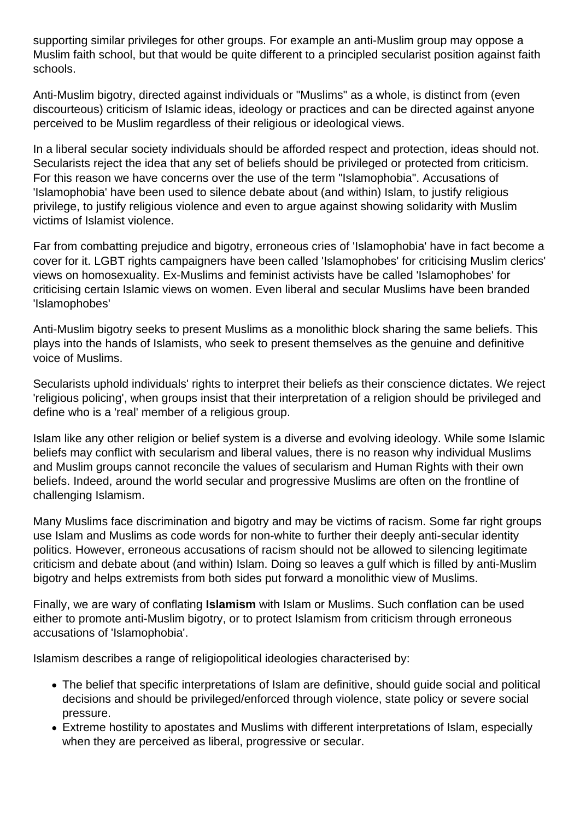supporting similar privileges for other groups. For example an anti-Muslim group may oppose a Muslim faith school, but that would be quite different to a principled secularist position against faith schools.

Anti-Muslim bigotry, directed against individuals or "Muslims" as a whole, is distinct from (even discourteous) criticism of Islamic ideas, ideology or practices and can be directed against anyone perceived to be Muslim regardless of their religious or ideological views.

In a liberal secular society individuals should be afforded respect and protection, ideas should not. Secularists reject the idea that any set of beliefs should be privileged or protected from criticism. For this reason we have concerns over the use of the term "Islamophobia". Accusations of 'Islamophobia' have been used to silence debate about (and within) Islam, to justify religious privilege, to justify religious violence and even to argue against showing solidarity with Muslim victims of Islamist violence.

Far from combatting prejudice and bigotry, erroneous cries of 'Islamophobia' have in fact become a cover for it. LGBT rights campaigners have been called 'Islamophobes' for criticising Muslim clerics' views on homosexuality. Ex-Muslims and feminist activists have be called 'Islamophobes' for criticising certain Islamic views on women. Even liberal and secular Muslims have been branded 'Islamophobes'

Anti-Muslim bigotry seeks to present Muslims as a monolithic block sharing the same beliefs. This plays into the hands of Islamists, who seek to present themselves as the genuine and definitive voice of Muslims.

Secularists uphold individuals' rights to interpret their beliefs as their conscience dictates. We reject 'religious policing', when groups insist that their interpretation of a religion should be privileged and define who is a 'real' member of a religious group.

Islam like any other religion or belief system is a diverse and evolving ideology. While some Islamic beliefs may conflict with secularism and liberal values, there is no reason why individual Muslims and Muslim groups cannot reconcile the values of secularism and Human Rights with their own beliefs. Indeed, around the world secular and progressive Muslims are often on the frontline of challenging Islamism.

Many Muslims face discrimination and bigotry and may be victims of racism. Some far right groups use Islam and Muslims as code words for non-white to further their deeply anti-secular identity politics. However, erroneous accusations of racism should not be allowed to silencing legitimate criticism and debate about (and within) Islam. Doing so leaves a gulf which is filled by anti-Muslim bigotry and helps extremists from both sides put forward a monolithic view of Muslims.

Finally, we are wary of conflating **Islamism** with Islam or Muslims. Such conflation can be used either to promote anti-Muslim bigotry, or to protect Islamism from criticism through erroneous accusations of 'Islamophobia'.

Islamism describes a range of religiopolitical ideologies characterised by:

- The belief that specific interpretations of Islam are definitive, should guide social and political decisions and should be privileged/enforced through violence, state policy or severe social pressure.
- Extreme hostility to apostates and Muslims with different interpretations of Islam, especially when they are perceived as liberal, progressive or secular.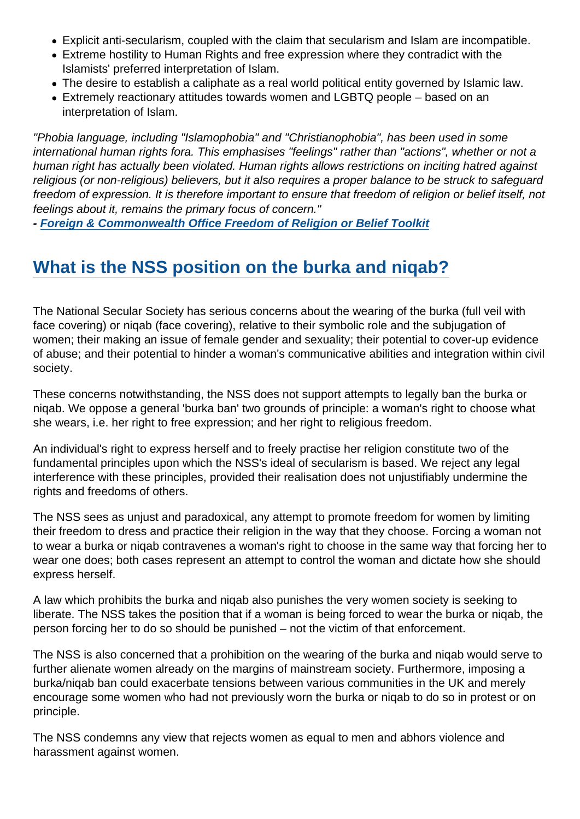- Explicit anti-secularism, coupled with the claim that secularism and Islam are incompatible.
- Extreme hostility to Human Rights and free expression where they contradict with the Islamists' preferred interpretation of Islam.
- The desire to establish a caliphate as a real world political entity governed by Islamic law.
- Extremely reactionary attitudes towards women and LGBTQ people based on an interpretation of Islam.

"Phobia language, including "Islamophobia" and "Christianophobia", has been used in some international human rights fora. This emphasises "feelings" rather than "actions", whether or not a human right has actually been violated. Human rights allows restrictions on inciting hatred against religious (or non-religious) believers, but it also requires a proper balance to be struck to safeguard freedom of expression. It is therefore important to ensure that freedom of religion or belief itself, not feelings about it, remains the primary focus of concern."

- [Foreign & Commonwealth Office Freedom of Religion or Belief Toolkit](https://assets.publishing.service.gov.uk/government/uploads/system/uploads/attachment_data/file/561516/Freedom_of_Religion_or_Belief_Toolkit_-_2016.pdf)

## [What is the NSS position on the burka and niqab?](https://www.secularism.org.uk/free-expression/freedom-of-expression-faq.html#e-190127-a)

The National Secular Society has serious concerns about the wearing of the burka (full veil with face covering) or niqab (face covering), relative to their symbolic role and the subjugation of women; their making an issue of female gender and sexuality; their potential to cover-up evidence of abuse; and their potential to hinder a woman's communicative abilities and integration within civil society.

These concerns notwithstanding, the NSS does not support attempts to legally ban the burka or niqab. We oppose a general 'burka ban' two grounds of principle: a woman's right to choose what she wears, i.e. her right to free expression; and her right to religious freedom.

An individual's right to express herself and to freely practise her religion constitute two of the fundamental principles upon which the NSS's ideal of secularism is based. We reject any legal interference with these principles, provided their realisation does not unjustifiably undermine the rights and freedoms of others.

The NSS sees as unjust and paradoxical, any attempt to promote freedom for women by limiting their freedom to dress and practice their religion in the way that they choose. Forcing a woman not to wear a burka or niqab contravenes a woman's right to choose in the same way that forcing her to wear one does; both cases represent an attempt to control the woman and dictate how she should express herself.

A law which prohibits the burka and niqab also punishes the very women society is seeking to liberate. The NSS takes the position that if a woman is being forced to wear the burka or niqab, the person forcing her to do so should be punished – not the victim of that enforcement.

The NSS is also concerned that a prohibition on the wearing of the burka and niqab would serve to further alienate women already on the margins of mainstream society. Furthermore, imposing a burka/niqab ban could exacerbate tensions between various communities in the UK and merely encourage some women who had not previously worn the burka or niqab to do so in protest or on principle.

The NSS condemns any view that rejects women as equal to men and abhors violence and harassment against women.